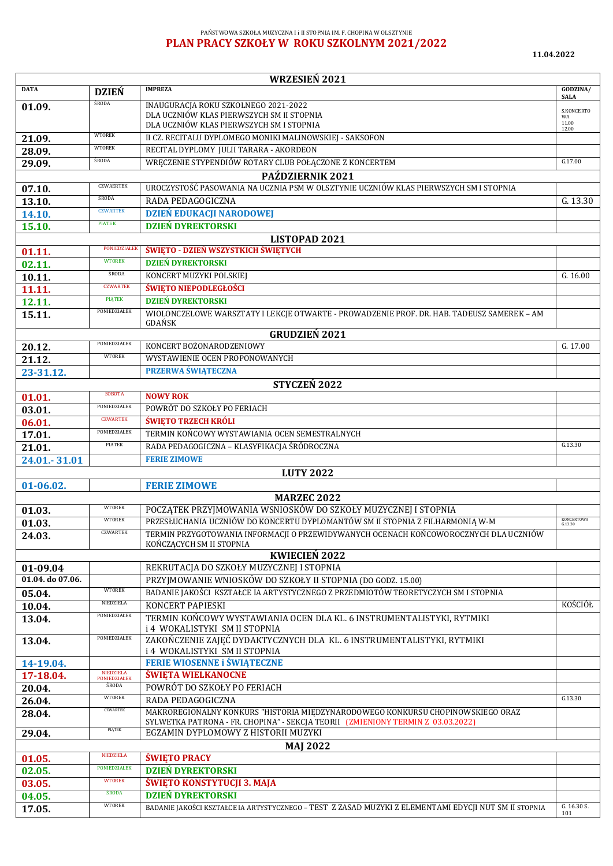## PAŃSTWOWA SZKOŁA MUZYCZNA I i II STOPNIA IM. F. CHOPINA W OLSZTYNIE **PLAN PRACY SZKOŁY W ROKU SZKOLNYM 2021/2022**

 $\mathbf{r}$ 

**11.04.2022**

| <b>WRZESIEŃ 2021</b>                                             |                                      |                                                                                                                                                                    |                         |  |  |  |
|------------------------------------------------------------------|--------------------------------------|--------------------------------------------------------------------------------------------------------------------------------------------------------------------|-------------------------|--|--|--|
| <b>DATA</b>                                                      | <b>DZIEŃ</b>                         | <b>IMPREZA</b>                                                                                                                                                     | GODZINA/<br><b>SALA</b> |  |  |  |
| 01.09.                                                           | ŚRODA                                | INAUGURACJA ROKU SZKOLNEGO 2021-2022                                                                                                                               | S.KONCERTO              |  |  |  |
|                                                                  |                                      | DLA UCZNIÓW KLAS PIERWSZYCH SM II STOPNIA                                                                                                                          | WA<br>11.00             |  |  |  |
|                                                                  | <b>WTOREK</b>                        | DLA UCZNIÓW KLAS PIERWSZYCH SM I STOPNIA                                                                                                                           | 12.00                   |  |  |  |
| 21.09.                                                           | <b>WTOREK</b>                        | II CZ. RECITALU DYPLOMEGO MONIKI MALINOWSKIEJ - SAKSOFON                                                                                                           |                         |  |  |  |
| 28.09.                                                           | ŚRODA                                | RECITAL DYPLOMY JULII TARARA - AKORDEON                                                                                                                            | G.17.00                 |  |  |  |
| 29.09.                                                           |                                      | WRECZENIE STYPENDIÓW ROTARY CLUB POŁĄCZONE Z KONCERTEM                                                                                                             |                         |  |  |  |
|                                                                  | PAŹDZIERNIK 2021<br><b>CZWAERTEK</b> |                                                                                                                                                                    |                         |  |  |  |
| 07.10.                                                           | ŚRODA                                | UROCZYSTOŚĆ PASOWANIA NA UCZNIA PSM W OLSZTYNIE UCZNIÓW KLAS PIERWSZYCH SM I STOPNIA                                                                               |                         |  |  |  |
| 13.10.                                                           | <b>CZWARTEK</b>                      | RADA PEDAGOGICZNA                                                                                                                                                  | G. 13.30                |  |  |  |
| 14.10.                                                           | <b>PIATEK</b>                        | <b>DZIEŃ EDUKACJI NARODOWEJ</b>                                                                                                                                    |                         |  |  |  |
| <b>DZIEŃ DYREKTORSKI</b><br>15.10.                               |                                      |                                                                                                                                                                    |                         |  |  |  |
|                                                                  | PONIEDZIAŁE                          | LISTOPAD 2021<br>ŚWIĘTO - DZIEŃ WSZYSTKICH ŚWIĘTYCH                                                                                                                |                         |  |  |  |
| 01.11.                                                           | <b>WTOREK</b>                        | <b>DZIEŃ DYREKTORSKI</b>                                                                                                                                           |                         |  |  |  |
| 02.11.                                                           | ŚRODA                                |                                                                                                                                                                    |                         |  |  |  |
| 10.11.                                                           | <b>CZWARTEK</b>                      | KONCERT MUZYKI POLSKIEJ<br>$\overline{G}$ . 16.00<br><b>ŚWIĘTO NIEPODLEGŁOŚCI</b>                                                                                  |                         |  |  |  |
| 11.11.                                                           | <b>PIATEK</b>                        | <b>DZIEŃ DYREKTORSKI</b>                                                                                                                                           |                         |  |  |  |
| 12.11.                                                           | PONIEDZIAŁEK                         |                                                                                                                                                                    |                         |  |  |  |
| 15.11.                                                           |                                      | WIOLONCZELOWE WARSZTATY I LEKCJE OTWARTE - PROWADZENIE PROF. DR. HAB. TADEUSZ SAMEREK – AM<br>GDAŃSK                                                               |                         |  |  |  |
|                                                                  |                                      | <b>GRUDZIEŃ 2021</b>                                                                                                                                               |                         |  |  |  |
| 20.12.                                                           | PONIEDZIAŁEK                         | KONCERT BOŻONARODZENIOWY                                                                                                                                           | G. 17.00                |  |  |  |
| 21.12.                                                           | <b>WTOREK</b>                        | WYSTAWIENIE OCEN PROPONOWANYCH                                                                                                                                     |                         |  |  |  |
| 23-31.12.                                                        |                                      | <b>PRZERWA ŚWIĄTECZNA</b>                                                                                                                                          |                         |  |  |  |
|                                                                  |                                      | STYCZEŃ 2022                                                                                                                                                       |                         |  |  |  |
| 01.01.                                                           | <b>SOBOTA</b>                        | <b>NOWY ROK</b>                                                                                                                                                    |                         |  |  |  |
| 03.01.                                                           | PONIEDZIALEK                         | POWRÓT DO SZKOŁY PO FERIACH                                                                                                                                        |                         |  |  |  |
| 06.01.                                                           | <b>CZWARTEK</b>                      | <b>ŚWIĘTO TRZECH KRÓLI</b>                                                                                                                                         |                         |  |  |  |
| 17.01.                                                           | PONIEDZIAŁEK                         | TERMIN KOŃCOWY WYSTAWIANIA OCEN SEMESTRALNYCH                                                                                                                      |                         |  |  |  |
| 21.01.                                                           | PIATEK                               | RADA PEDAGOGICZNA – KLASYFIKACJA ŚRÓDROCZNA                                                                                                                        | G.13.30                 |  |  |  |
| 24.01.-31.01                                                     |                                      | <b>FERIE ZIMOWE</b>                                                                                                                                                |                         |  |  |  |
|                                                                  |                                      | <b>LUTY 2022</b>                                                                                                                                                   |                         |  |  |  |
| 01-06.02.                                                        |                                      | <b>FERIE ZIMOWE</b>                                                                                                                                                |                         |  |  |  |
|                                                                  |                                      | <b>MARZEC 2022</b>                                                                                                                                                 |                         |  |  |  |
| 01.03.                                                           | <b>WTOREK</b>                        | POCZĄTEK PRZYJMOWANIA WSNIOSKÓW DO SZKOŁY MUZYCZNEJ I STOPNIA                                                                                                      |                         |  |  |  |
| 01.03.                                                           | <b>WTOREK</b>                        | PRZESŁUCHANIA UCZNIÓW DO KONCERTU DYPLOMANTÓW SM II STOPNIA Z FILHARMONIA W-M                                                                                      | KONCERTOWA<br>G.13.30   |  |  |  |
| 24.03.                                                           | CZWARTEK                             | TERMIN PRZYGOTOWANIA INFORMACJI O PRZEWIDYWANYCH OCENACH KOŃCOWOROCZNYCH DLA UCZNIÓW                                                                               |                         |  |  |  |
|                                                                  |                                      | KOŃCZACYCH SM II STOPNIA                                                                                                                                           |                         |  |  |  |
| <b>KWIECIEŃ 2022</b><br>REKRUTACJA DO SZKOŁY MUZYCZNEJ I STOPNIA |                                      |                                                                                                                                                                    |                         |  |  |  |
| 01-09.04<br>01.04. do 07.06.                                     |                                      | PRZYJMOWANIE WNIOSKÓW DO SZKOŁY II STOPNIA (DO GODZ. 15.00)                                                                                                        |                         |  |  |  |
|                                                                  | <b>WTOREK</b>                        | BADANIE JAKOŚCI KSZTAŁCE IA ARTYSTYCZNEGO Z PRZEDMIOTÓW TEORETYCZYCH SM I STOPNIA                                                                                  |                         |  |  |  |
| 05.04.<br>10.04.                                                 | NIEDZIELA                            | KONCERT PAPIESKI                                                                                                                                                   | KOŚCIÓŁ                 |  |  |  |
| 13.04.                                                           | PONIEDZIAŁEK                         | TERMIN KOŃCOWY WYSTAWIANIA OCEN DLA KL. 6 INSTRUMENTALISTYKI, RYTMIKI                                                                                              |                         |  |  |  |
|                                                                  |                                      | i 4 WOKALISTYKI SM II STOPNIA                                                                                                                                      |                         |  |  |  |
| 13.04.                                                           | PONIEDZIAŁEK                         | ZAKOŃCZENIE ZAJĘĆ DYDAKTYCZNYCH DLA KL. 6 INSTRUMENTALISTYKI, RYTMIKI                                                                                              |                         |  |  |  |
|                                                                  |                                      | i 4 WOKALISTYKI SM II STOPNIA                                                                                                                                      |                         |  |  |  |
| 14-19.04.                                                        |                                      | <b>FERIE WIOSENNE i ŚWIĄTECZNE</b>                                                                                                                                 |                         |  |  |  |
| 17-18.04.                                                        | NIEDZIELA<br>PONIEDZIAŁEK            | <b>ŚWIĘTA WIELKANOCNE</b>                                                                                                                                          |                         |  |  |  |
| 20.04.                                                           | <b>ŚRODA</b>                         | POWRÓT DO SZKOŁY PO FERIACH                                                                                                                                        |                         |  |  |  |
| 26.04.                                                           | <b>WTOREK</b>                        | RADA PEDAGOGICZNA                                                                                                                                                  | G.13.30                 |  |  |  |
| 28.04.                                                           | CZWARTEK                             | MAKROREGIONALNY KONKURS "HISTORIA MIĘDZYNARODOWEGO KONKURSU CHOPINOWSKIEGO ORAZ<br>SYLWETKA PATRONA - FR. CHOPINA" - SEKCJA TEORII (ZMIENIONY TERMIN Z 03.03.2022) |                         |  |  |  |
| 29.04.                                                           | PIĄTEK                               | EGZAMIN DYPLOMOWY Z HISTORII MUZYKI                                                                                                                                |                         |  |  |  |
| <b>MAJ 2022</b>                                                  |                                      |                                                                                                                                                                    |                         |  |  |  |
| 01.05.                                                           | NIEDZIELA                            | <b>ŚWIĘTO PRACY</b>                                                                                                                                                |                         |  |  |  |
| 02.05.                                                           | PONIEDZIAŁEK                         | <b>DZIEŃ DYREKTORSKI</b>                                                                                                                                           |                         |  |  |  |
| 03.05.                                                           | <b>WTOREK</b>                        | ŚWIĘTO KONSTYTUCJI 3. MAJA                                                                                                                                         |                         |  |  |  |
| 04.05.                                                           | <b>ŚRODA</b>                         | <b>DZIEŃ DYREKTORSKI</b>                                                                                                                                           |                         |  |  |  |
| 17.05.                                                           | <b>WTOREK</b>                        | BADANIE JAKOŚCI KSZTAŁCE IA ARTYSTYCZNEGO – TEST Z ZASAD MUZYKI Z ELEMENTAMI EDYCJI NUT SM II STOPNIA                                                              | G. 16.30 S.<br>101      |  |  |  |